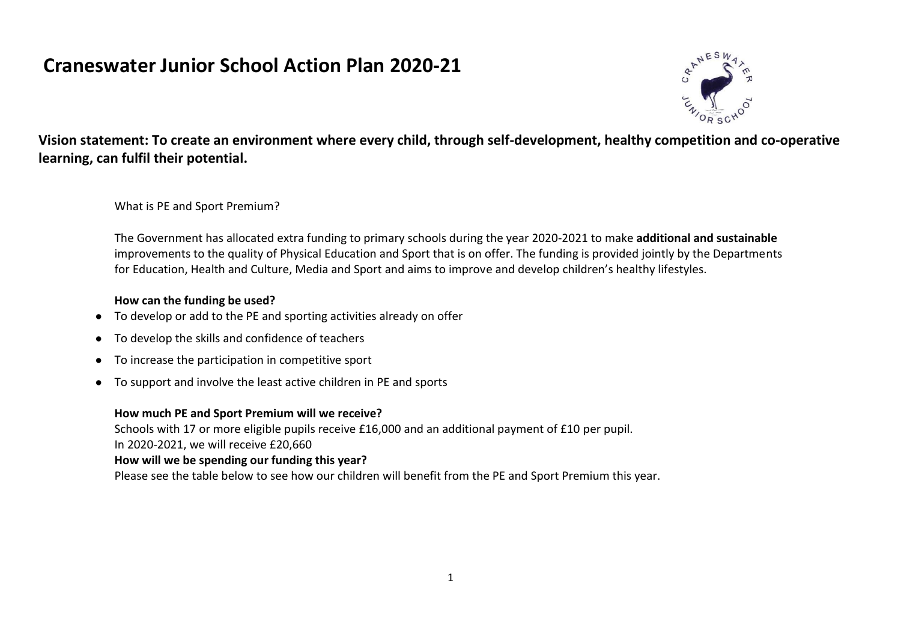## **Craneswater Junior School Action Plan 2020-21**



**Vision statement: To create an environment where every child, through self-development, healthy competition and co-operative learning, can fulfil their potential.**

What is PE and Sport Premium?

The Government has allocated extra funding to primary schools during the year 2020-2021 to make **additional and sustainable**  improvements to the quality of Physical Education and Sport that is on offer. The funding is provided jointly by the Departments for Education, Health and Culture, Media and Sport and aims to improve and develop children's healthy lifestyles.

## **How can the funding be used?**

- To develop or add to the PE and sporting activities already on offer
- To develop the skills and confidence of teachers
- To increase the participation in competitive sport
- To support and involve the least active children in PE and sports

## **How much PE and Sport Premium will we receive?**

Schools with 17 or more eligible pupils receive £16,000 and an additional payment of £10 per pupil. In 2020-2021, we will receive £20,660

## **How will we be spending our funding this year?**

Please see the table below to see how our children will benefit from the PE and Sport Premium this year.